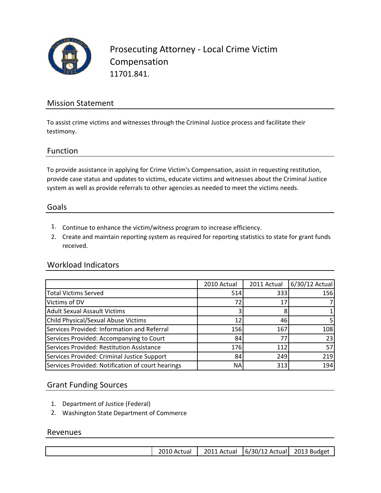

Prosecuting Attorney ‐ Local Crime Victim Compensation 11701.841.

### Mission Statement

To assist crime victims and witnesses through the Criminal Justice process and facilitate their testimony.

### Function

To provide assistance in applying for Crime Victim's Compensation, assist in requesting restitution, provide case status and updates to victims, educate victims and witnesses about the Criminal Justice system as well as provide referrals to other agencies as needed to meet the victims needs.

#### Goals

- 1. Continue to enhance the victim/witness program to increase efficiency.
- 2. Create and maintain reporting system as required for reporting statistics to state for grant funds received.

### Workload Indicators

|                                                   | 2010 Actual | 2011 Actual | 6/30/12 Actual |
|---------------------------------------------------|-------------|-------------|----------------|
| <b>Total Victims Served</b>                       | 514         | 333         | 156            |
| Victims of DV                                     | 72          | 17          |                |
| <b>Adult Sexual Assault Victims</b>               |             | 8           |                |
| <b>Child Physical/Sexual Abuse Victims</b>        | 12          | 46          |                |
| Services Provided: Information and Referral       | 156         | 167         | 108            |
| Services Provided: Accompanying to Court          | 84          | 77          | 23             |
| Services Provided: Restitution Assistance         | 176         | 112         | 57             |
| Services Provided: Criminal Justice Support       | 84          | 249         | 219            |
| Services Provided: Notification of court hearings | <b>NA</b>   | 313         | 194            |

### Grant Funding Sources

- 1. Department of Justice (Federal)
- 2. Washington State Department of Commerce

#### Revenues